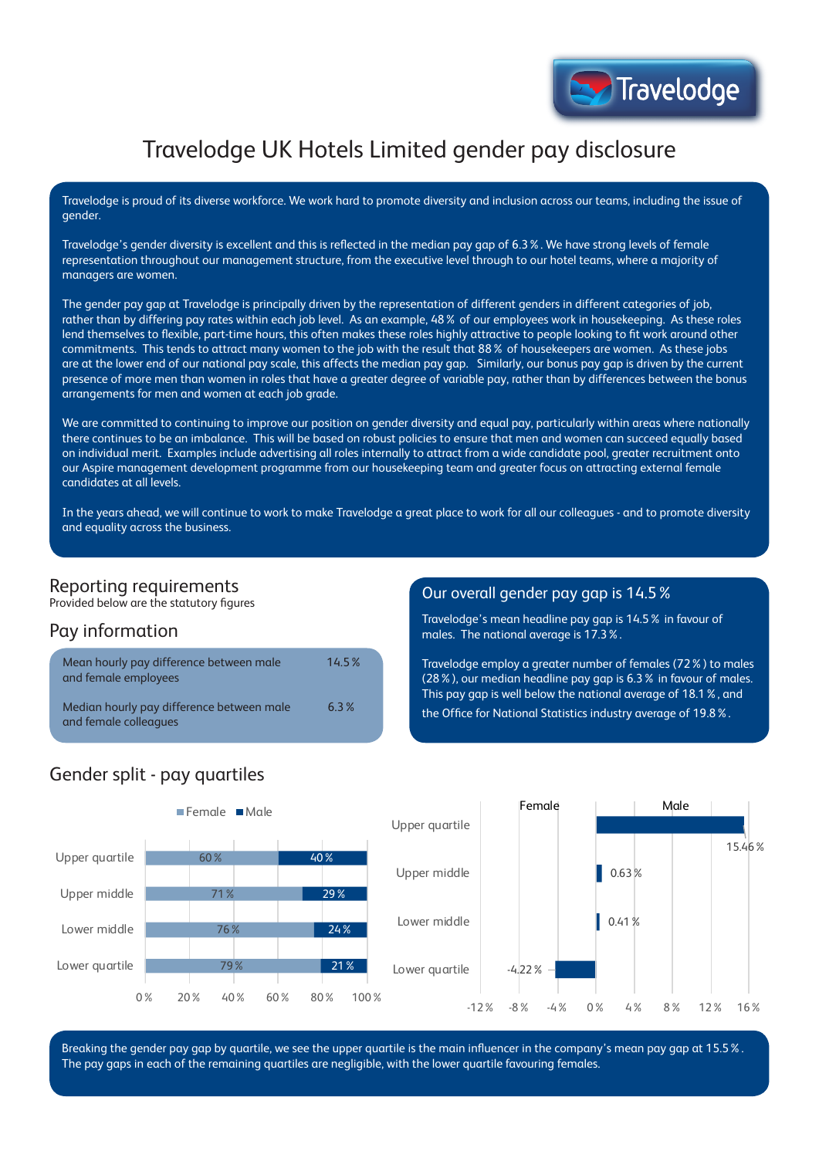

# Travelodge UK Hotels Limited gender pay disclosure

Travelodge is proud of its diverse workforce. We work hard to promote diversity and inclusion across our teams, including the issue of gender.

Travelodge's gender diversity is excellent and this is reflected in the median pay gap of 6.3%. We have strong levels of female representation throughout our management structure, from the executive level through to our hotel teams, where a majority of managers are women.

The gender pay gap at Travelodge is principally driven by the representation of different genders in different categories of job, rather than by differing pay rates within each job level. As an example, 48% of our employees work in housekeeping. As these roles lend themselves to flexible, part-time hours, this often makes these roles highly attractive to people looking to fit work around other commitments. This tends to attract many women to the job with the result that 88% of housekeepers are women. As these jobs are at the lower end of our national pay scale, this affects the median pay gap. Similarly, our bonus pay gap is driven by the current presence of more men than women in roles that have a greater degree of variable pay, rather than by differences between the bonus arrangements for men and women at each job grade.

We are committed to continuing to improve our position on gender diversity and equal pay, particularly within areas where nationally there continues to be an imbalance. This will be based on robust policies to ensure that men and women can succeed equally based on individual merit. Examples include advertising all roles internally to attract from a wide candidate pool, greater recruitment onto our Aspire management development programme from our housekeeping team and greater focus on attracting external female candidates at all levels.

In the years ahead, we will continue to work to make Travelodge a great place to work for all our colleagues - and to promote diversity and equality across the business.

#### Reporting requirements

Provided below are the statutory figures

### Pay information

| Mean hourly pay difference between male<br>and female employees    | 14.5% |
|--------------------------------------------------------------------|-------|
| Median hourly pay difference between male<br>and female colleagues | 6.3%  |

#### Our overall gender pay gap is 14.5%

Travelodge's mean headline pay gap is 14.5% in favour of males. The national average is 17.3%.

Travelodge employ a greater number of females (72%) to males (28%), our median headline pay gap is 6.3% in favour of males. This pay gap is well below the national average of 18.1%, and the Office for National Statistics industry average of 19.8%.

## Gender split - pay quartiles



Breaking the gender pay gap by quartile, we see the upper quartile is the main influencer in the company's mean pay gap at 15.5%. The pay gaps in each of the remaining quartiles are negligible, with the lower quartile favouring females.